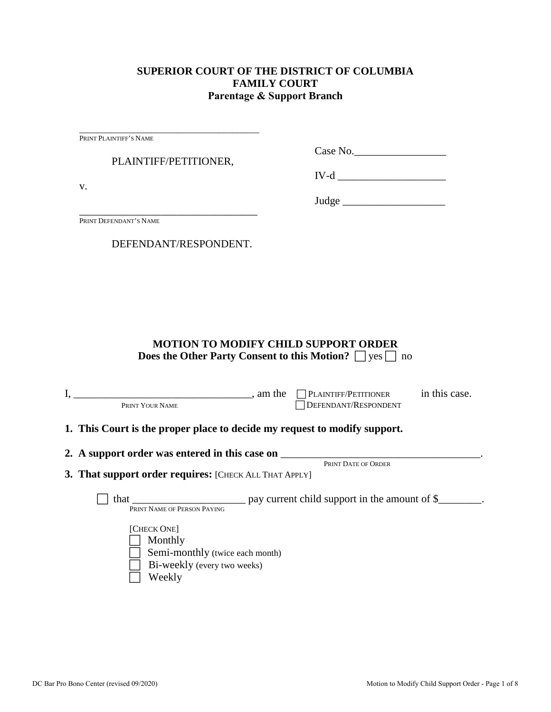## **SUPERIOR COURT OF THE DISTRICT OF COLUMBIA FAMILY COURT Parentage & Support Branch**

\_\_\_\_\_\_\_\_\_\_\_\_\_\_\_\_\_\_\_\_\_\_\_\_\_\_\_\_\_\_\_\_\_\_\_\_\_\_\_\_ PRINT PLAINTIFF'S NAME

PLAINTIFF/PETITIONER,

Case No.

v.

 $IV-d$   $\overline{\phantom{a}}$ 

Judge \_\_\_\_\_\_\_\_\_\_\_\_\_\_\_\_\_\_\_

\_\_\_\_\_\_\_\_\_\_\_\_\_\_\_\_\_\_\_\_\_\_\_\_\_\_\_\_\_\_\_\_\_ PRINT DEFENDANT'S NAME

DEFENDANT/RESPONDENT.

# **MOTION TO MODIFY CHILD SUPPORT ORDER Does the Other Party Consent to this Motion?**  $\Box$  yes  $\Box$  no

| $\sim$ am the same state of $\sim$<br>PRINT YOUR NAME                                                                                      | $\Box$ PLAINTIFF/PETITIONER in this case.<br>DEFENDANT/RESPONDENT |  |
|--------------------------------------------------------------------------------------------------------------------------------------------|-------------------------------------------------------------------|--|
| 1. This Court is the proper place to decide my request to modify support.                                                                  |                                                                   |  |
| 2. A support order was entered in this case on _________________________________<br>3. That support order requires: [CHECK ALL THAT APPLY] | PRINT DATE OF ORDER                                               |  |
| that<br>PRINT NAME OF PERSON PAYING                                                                                                        | $\frac{1}{2}$ pay current child support in the amount of \$       |  |
| [CHECK ONE]<br>Monthly<br>Semi-monthly (twice each month)<br>Bi-weekly (every two weeks)<br>Weekly                                         |                                                                   |  |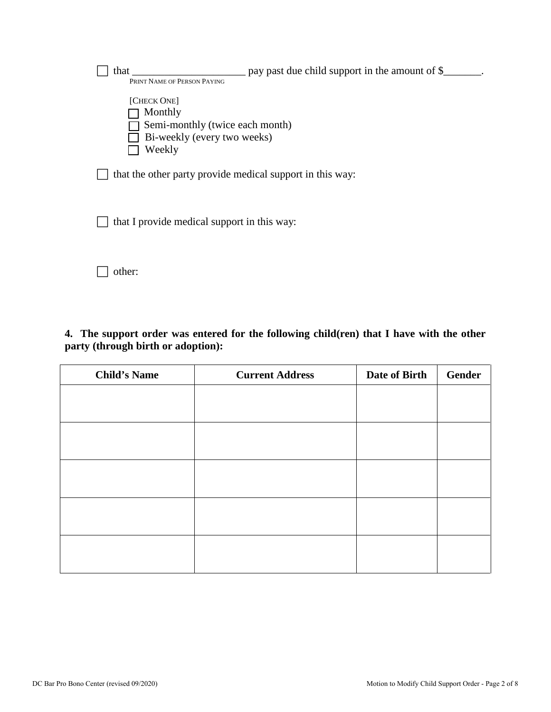| that                                        | pay past due child support in the amount of \$            |
|---------------------------------------------|-----------------------------------------------------------|
| PRINT NAME OF PERSON PAYING                 |                                                           |
| [CHECK ONE]                                 |                                                           |
| Monthly                                     |                                                           |
| Semi-monthly (twice each month)             |                                                           |
| Bi-weekly (every two weeks)                 |                                                           |
| Weekly                                      |                                                           |
|                                             | that the other party provide medical support in this way: |
| that I provide medical support in this way: |                                                           |
|                                             |                                                           |
| other:                                      |                                                           |

**4. The support order was entered for the following child(ren) that I have with the other party (through birth or adoption):**

| <b>Child's Name</b> | <b>Current Address</b> | Date of Birth | <b>Gender</b> |
|---------------------|------------------------|---------------|---------------|
|                     |                        |               |               |
|                     |                        |               |               |
|                     |                        |               |               |
|                     |                        |               |               |
|                     |                        |               |               |
|                     |                        |               |               |
|                     |                        |               |               |
|                     |                        |               |               |
|                     |                        |               |               |
|                     |                        |               |               |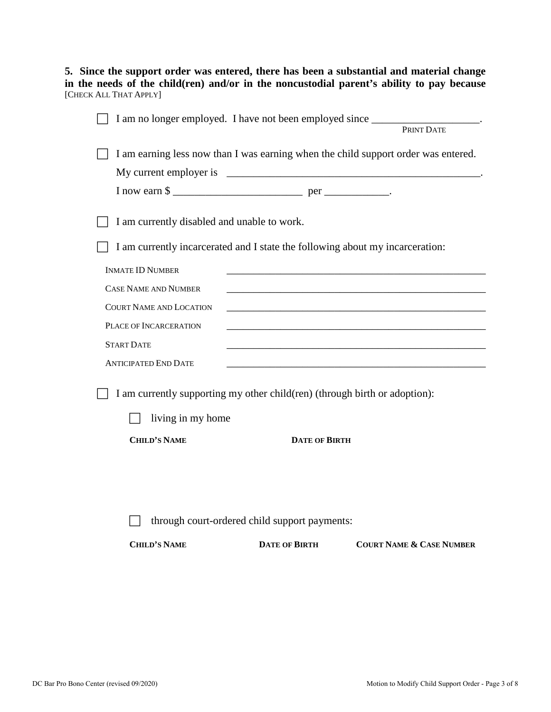**5. Since the support order was entered, there has been a substantial and material change in the needs of the child(ren) and/or in the noncustodial parent's ability to pay because** [CHECK ALL THAT APPLY]

| I am no longer employed. I have not been employed since FRINT DATE                 |                      |                                                                                                                  |  |
|------------------------------------------------------------------------------------|----------------------|------------------------------------------------------------------------------------------------------------------|--|
|                                                                                    |                      |                                                                                                                  |  |
| I am earning less now than I was earning when the child support order was entered. |                      |                                                                                                                  |  |
| My current employer is                                                             |                      |                                                                                                                  |  |
|                                                                                    |                      |                                                                                                                  |  |
| I am currently disabled and unable to work.                                        |                      |                                                                                                                  |  |
| I am currently incarcerated and I state the following about my incarceration:      |                      |                                                                                                                  |  |
| <b>INMATE ID NUMBER</b>                                                            |                      |                                                                                                                  |  |
| <b>CASE NAME AND NUMBER</b>                                                        |                      |                                                                                                                  |  |
| <b>COURT NAME AND LOCATION</b>                                                     |                      |                                                                                                                  |  |
| PLACE OF INCARCERATION                                                             |                      |                                                                                                                  |  |
| <b>START DATE</b>                                                                  |                      |                                                                                                                  |  |
| <b>ANTICIPATED END DATE</b>                                                        |                      | and the control of the control of the control of the control of the control of the control of the control of the |  |
| I am currently supporting my other child(ren) (through birth or adoption):         |                      |                                                                                                                  |  |
| living in my home                                                                  |                      |                                                                                                                  |  |
| <b>CHILD'S NAME</b>                                                                | <b>DATE OF BIRTH</b> |                                                                                                                  |  |
|                                                                                    |                      |                                                                                                                  |  |
|                                                                                    |                      |                                                                                                                  |  |
|                                                                                    |                      |                                                                                                                  |  |
| through court-ordered child support payments:                                      |                      |                                                                                                                  |  |
| <b>CHILD'S NAME</b>                                                                | <b>DATE OF BIRTH</b> | <b>COURT NAME &amp; CASE NUMBER</b>                                                                              |  |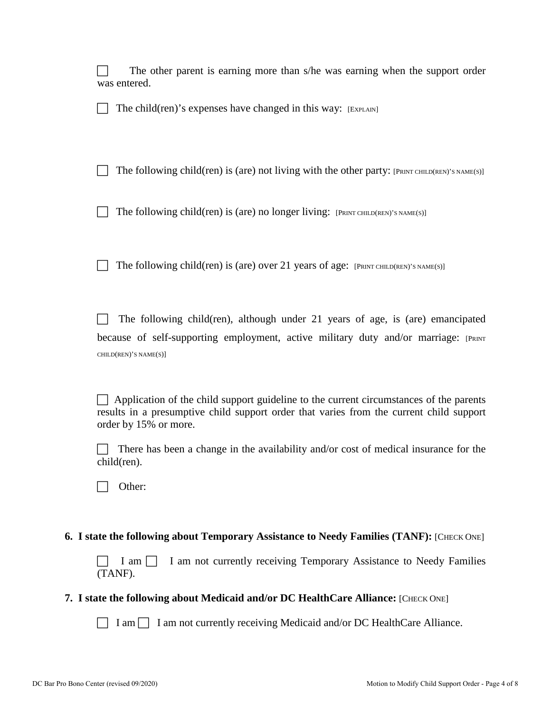|                                                                                           | The other parent is earning more than s/he was earning when the support order<br>was entered.                                                                                                              |  |
|-------------------------------------------------------------------------------------------|------------------------------------------------------------------------------------------------------------------------------------------------------------------------------------------------------------|--|
|                                                                                           | The child(ren)'s expenses have changed in this way: [EXPLAIN]                                                                                                                                              |  |
|                                                                                           | The following child(ren) is (are) not living with the other party: $[PRINT CHILD(REN)$ 's $NAME(S)]$                                                                                                       |  |
|                                                                                           | The following child(ren) is (are) no longer living: $[PRINT CHILD(REN)$ 's $NAME(S)]$                                                                                                                      |  |
|                                                                                           | The following child(ren) is (are) over 21 years of age: $[PRINT CHILD(REN)$ 's $NAME(S)]$                                                                                                                  |  |
|                                                                                           | The following child(ren), although under 21 years of age, is (are) emancipated<br>because of self-supporting employment, active military duty and/or marriage: [PRINT<br>CHILD(REN)'S NAME(S)]             |  |
|                                                                                           | Application of the child support guideline to the current circumstances of the parents<br>results in a presumptive child support order that varies from the current child support<br>order by 15% or more. |  |
|                                                                                           | There has been a change in the availability and/or cost of medical insurance for the<br>child(ren).                                                                                                        |  |
|                                                                                           | Other:                                                                                                                                                                                                     |  |
| 6. I state the following about Temporary Assistance to Needy Families (TANF): [CHECK ONE] |                                                                                                                                                                                                            |  |
|                                                                                           | I am not currently receiving Temporary Assistance to Needy Families<br>I am $\vert \vert$<br>(TANF).                                                                                                       |  |

### **7.** I state the following about Medicaid and/or DC HealthCare Alliance: [CHECK ONE]

□ I am □ I am not currently receiving Medicaid and/or DC HealthCare Alliance.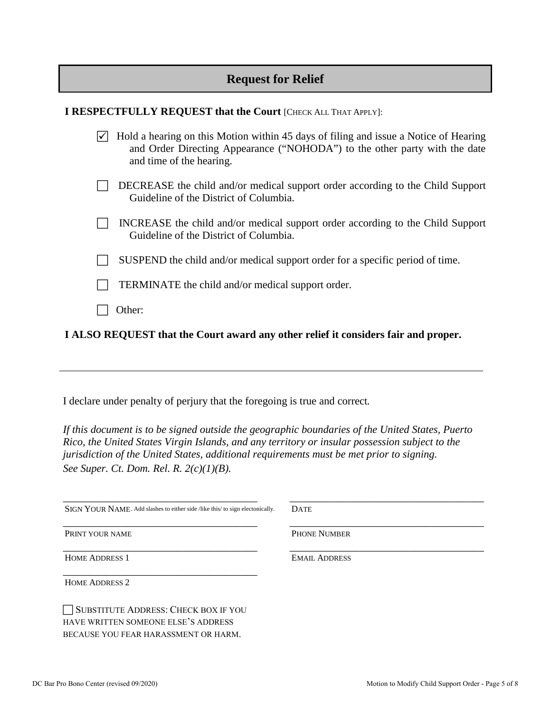# **Request for Relief**

| I RESPECTFULLY REQUEST that the Court [CHECK ALL THAT APPLY]: |  |
|---------------------------------------------------------------|--|
|---------------------------------------------------------------|--|

| $\triangledown$ Hold a hearing on this Motion within 45 days of filing and issue a Notice of Hearing |
|------------------------------------------------------------------------------------------------------|
| and Order Directing Appearance ("NOHODA") to the other party with the date                           |
| and time of the hearing.                                                                             |
|                                                                                                      |

- DECREASE the child and/or medical support order according to the Child Support Guideline of the District of Columbia.
- $\Box$  INCREASE the child and/or medical support order according to the Child Support Guideline of the District of Columbia.
- $\Box$  SUSPEND the child and/or medical support order for a specific period of time.
- TERMINATE the child and/or medical support order.
- Other:

**I ALSO REQUEST that the Court award any other relief it considers fair and proper.**

I declare under penalty of perjury that the foregoing is true and correct*.* 

*If this document is to be signed outside the geographic boundaries of the United States, Puerto Rico, the United States Virgin Islands, and any territory or insular possession subject to the jurisdiction of the United States, additional requirements must be met prior to signing. See Super. Ct. Dom. Rel. R. 2(c)(1)(B).*

| SIGN YOUR NAME. Add slashes to either side /like this/ to sign electonically. | <b>DATE</b>          |
|-------------------------------------------------------------------------------|----------------------|
| PRINT YOUR NAME                                                               | <b>PHONE NUMBER</b>  |
| <b>HOME ADDRESS 1</b>                                                         | <b>EMAIL ADDRESS</b> |
| <b>HOME ADDRESS 2</b>                                                         |                      |
| SUBSTITUTE ADDRESS: CHECK BOX IF YOU<br>HAVE WRITTEN SOMEONE ELSE'S ADDRESS   |                      |
| BECAUSE YOU FEAR HARASSMENT OR HARM.                                          |                      |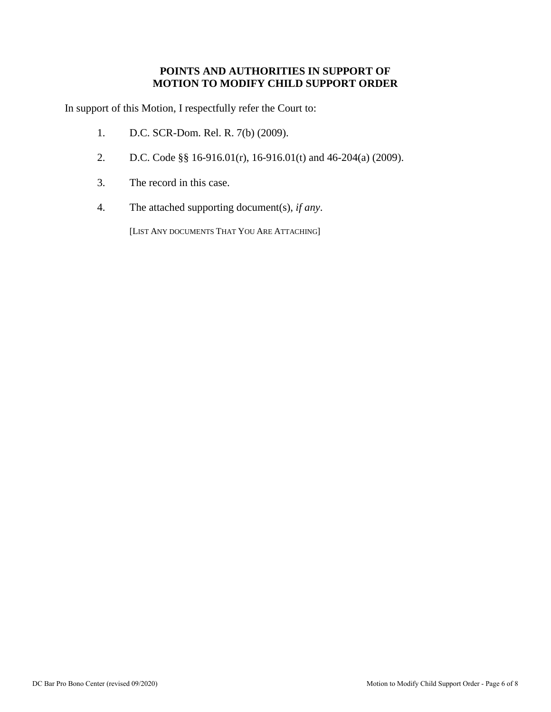## **POINTS AND AUTHORITIES IN SUPPORT OF MOTION TO MODIFY CHILD SUPPORT ORDER**

In support of this Motion, I respectfully refer the Court to:

- 1. D.C. SCR-Dom. Rel. R. 7(b) (2009).
- 2. D.C. Code §§ 16-916.01(r), 16-916.01(t) and 46-204(a) (2009).
- 3. The record in this case.
- 4. The attached supporting document(s), *if any*.

[LIST ANY DOCUMENTS THAT YOU ARE ATTACHING]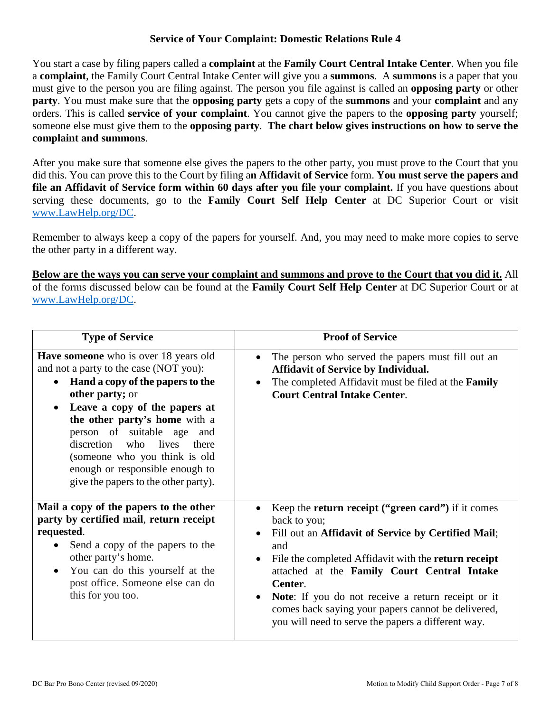### **Service of Your Complaint: Domestic Relations Rule 4**

You start a case by filing papers called a **complaint** at the **Family Court Central Intake Center**. When you file a **complaint**, the Family Court Central Intake Center will give you a **summons**. A **summons** is a paper that you must give to the person you are filing against. The person you file against is called an **opposing party** or other **party**. You must make sure that the **opposing party** gets a copy of the **summons** and your **complaint** and any orders. This is called **service of your complaint**. You cannot give the papers to the **opposing party** yourself; someone else must give them to the **opposing party**. **The chart below gives instructions on how to serve the complaint and summons**.

After you make sure that someone else gives the papers to the other party, you must prove to the Court that you did this. You can prove this to the Court by filing a**n Affidavit of Service** form. **You must serve the papers and file an Affidavit of Service form within 60 days after you file your complaint.** If you have questions about serving these documents, go to the **Family Court Self Help Center** at DC Superior Court or visit [www.LawHelp.org/DC.](http://www.lawhelp.org/DC)

Remember to always keep a copy of the papers for yourself. And, you may need to make more copies to serve the other party in a different way.

**Below are the ways you can serve your complaint and summons and prove to the Court that you did it.** All of the forms discussed below can be found at the **Family Court Self Help Center** at DC Superior Court or at [www.LawHelp.org/DC.](http://www.lawhelp.org/DC)

| <b>Type of Service</b>                                                                                                                                                                                                                                                                                                                                                                                                     | <b>Proof of Service</b>                                                                                                                                                                                                                                                                                                                                                                                                                                            |
|----------------------------------------------------------------------------------------------------------------------------------------------------------------------------------------------------------------------------------------------------------------------------------------------------------------------------------------------------------------------------------------------------------------------------|--------------------------------------------------------------------------------------------------------------------------------------------------------------------------------------------------------------------------------------------------------------------------------------------------------------------------------------------------------------------------------------------------------------------------------------------------------------------|
| <b>Have someone</b> who is over 18 years old<br>and not a party to the case (NOT you):<br>Hand a copy of the papers to the<br>$\bullet$<br>other party; or<br>Leave a copy of the papers at<br>$\bullet$<br>the other party's home with a<br>person of suitable age<br>and<br>discretion who<br>lives<br>there<br>(someone who you think is old<br>enough or responsible enough to<br>give the papers to the other party). | The person who served the papers must fill out an<br>$\bullet$<br><b>Affidavit of Service by Individual.</b><br>The completed Affidavit must be filed at the Family<br>$\bullet$<br><b>Court Central Intake Center.</b>                                                                                                                                                                                                                                            |
| Mail a copy of the papers to the other<br>party by certified mail, return receipt<br>requested.<br>Send a copy of the papers to the<br>$\bullet$<br>other party's home.<br>You can do this yourself at the<br>$\bullet$<br>post office. Someone else can do<br>this for you too.                                                                                                                                           | Keep the <b>return receipt</b> ("green card") if it comes<br>back to you;<br>Fill out an Affidavit of Service by Certified Mail;<br>$\bullet$<br>and<br>File the completed Affidavit with the return receipt<br>$\bullet$<br>attached at the Family Court Central Intake<br>Center.<br>Note: If you do not receive a return receipt or it<br>$\bullet$<br>comes back saying your papers cannot be delivered,<br>you will need to serve the papers a different way. |